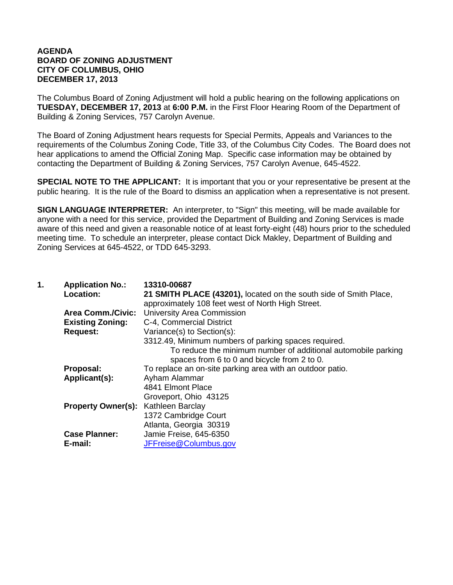## **AGENDA BOARD OF ZONING ADJUSTMENT CITY OF COLUMBUS, OHIO DECEMBER 17, 2013**

The Columbus Board of Zoning Adjustment will hold a public hearing on the following applications on **TUESDAY, DECEMBER 17, 2013** at **6:00 P.M.** in the First Floor Hearing Room of the Department of Building & Zoning Services, 757 Carolyn Avenue.

The Board of Zoning Adjustment hears requests for Special Permits, Appeals and Variances to the requirements of the Columbus Zoning Code, Title 33, of the Columbus City Codes. The Board does not hear applications to amend the Official Zoning Map. Specific case information may be obtained by contacting the Department of Building & Zoning Services, 757 Carolyn Avenue, 645-4522.

**SPECIAL NOTE TO THE APPLICANT:** It is important that you or your representative be present at the public hearing. It is the rule of the Board to dismiss an application when a representative is not present.

**SIGN LANGUAGE INTERPRETER:** An interpreter, to "Sign" this meeting, will be made available for anyone with a need for this service, provided the Department of Building and Zoning Services is made aware of this need and given a reasonable notice of at least forty-eight (48) hours prior to the scheduled meeting time. To schedule an interpreter, please contact Dick Makley, Department of Building and Zoning Services at 645-4522, or TDD 645-3293.

| 1. | <b>Application No.:</b><br>Location:       | 13310-00687<br>21 SMITH PLACE (43201), located on the south side of Smith Place,<br>approximately 108 feet west of North High Street.                                |
|----|--------------------------------------------|----------------------------------------------------------------------------------------------------------------------------------------------------------------------|
|    | <b>Area Comm./Civic:</b>                   | <b>University Area Commission</b>                                                                                                                                    |
|    | <b>Existing Zoning:</b>                    | C-4, Commercial District                                                                                                                                             |
|    | <b>Request:</b>                            | Variance(s) to Section(s):                                                                                                                                           |
|    |                                            | 3312.49, Minimum numbers of parking spaces required.<br>To reduce the minimum number of additional automobile parking<br>spaces from 6 to 0 and bicycle from 2 to 0. |
|    | Proposal:                                  | To replace an on-site parking area with an outdoor patio.                                                                                                            |
|    | Applicant(s):                              | Ayham Alammar                                                                                                                                                        |
|    |                                            | 4841 Elmont Place                                                                                                                                                    |
|    |                                            | Groveport, Ohio 43125                                                                                                                                                |
|    | <b>Property Owner(s): Kathleen Barclay</b> |                                                                                                                                                                      |
|    |                                            | 1372 Cambridge Court                                                                                                                                                 |
|    |                                            | Atlanta, Georgia 30319                                                                                                                                               |
|    | <b>Case Planner:</b>                       | Jamie Freise, 645-6350                                                                                                                                               |
|    | E-mail:                                    | JFFreise@Columbus.gov                                                                                                                                                |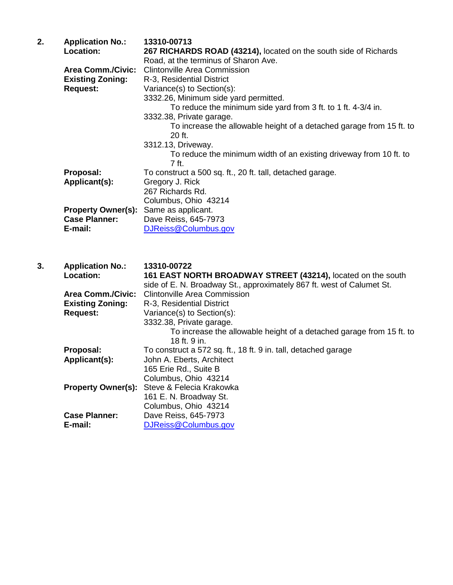| 2. | <b>Application No.:</b>   | 13310-00713                                                          |
|----|---------------------------|----------------------------------------------------------------------|
|    | Location:                 | 267 RICHARDS ROAD (43214), located on the south side of Richards     |
|    |                           | Road, at the terminus of Sharon Ave.                                 |
|    | <b>Area Comm./Civic:</b>  | <b>Clintonville Area Commission</b>                                  |
|    | <b>Existing Zoning:</b>   | R-3, Residential District                                            |
|    | <b>Request:</b>           | Variance(s) to Section(s):                                           |
|    |                           | 3332.26, Minimum side yard permitted.                                |
|    |                           | To reduce the minimum side yard from 3 ft. to 1 ft. 4-3/4 in.        |
|    |                           | 3332.38, Private garage.                                             |
|    |                           | To increase the allowable height of a detached garage from 15 ft. to |
|    |                           | 20 ft.                                                               |
|    |                           | 3312.13, Driveway.                                                   |
|    |                           | To reduce the minimum width of an existing driveway from 10 ft. to   |
|    |                           | 7 ft.                                                                |
|    | Proposal:                 | To construct a 500 sq. ft., 20 ft. tall, detached garage.            |
|    | Applicant(s):             | Gregory J. Rick                                                      |
|    |                           | 267 Richards Rd.                                                     |
|    |                           | Columbus, Ohio 43214                                                 |
|    | <b>Property Owner(s):</b> | Same as applicant.                                                   |
|    | <b>Case Planner:</b>      | Dave Reiss, 645-7973                                                 |
|    | E-mail:                   | DJReiss@Columbus.gov                                                 |
|    |                           |                                                                      |
|    |                           |                                                                      |

| 3. | <b>Application No.:</b>   | 13310-00722                                                           |
|----|---------------------------|-----------------------------------------------------------------------|
|    | Location:                 | 161 EAST NORTH BROADWAY STREET (43214), located on the south          |
|    |                           | side of E. N. Broadway St., approximately 867 ft. west of Calumet St. |
|    | <b>Area Comm./Civic:</b>  | <b>Clintonville Area Commission</b>                                   |
|    | <b>Existing Zoning:</b>   | R-3, Residential District                                             |
|    | <b>Request:</b>           | Variance(s) to Section(s):                                            |
|    |                           | 3332.38, Private garage.                                              |
|    |                           | To increase the allowable height of a detached garage from 15 ft. to  |
|    |                           | $18$ ft. 9 in.                                                        |
|    | Proposal:                 | To construct a 572 sq. ft., 18 ft. 9 in. tall, detached garage        |
|    | Applicant(s):             | John A. Eberts, Architect                                             |
|    |                           | 165 Erie Rd., Suite B                                                 |
|    |                           | Columbus, Ohio 43214                                                  |
|    | <b>Property Owner(s):</b> | Steve & Felecia Krakowka                                              |
|    |                           | 161 E. N. Broadway St.                                                |
|    |                           | Columbus, Ohio 43214                                                  |
|    | <b>Case Planner:</b>      | Dave Reiss, 645-7973                                                  |
|    | E-mail:                   | DJReiss@Columbus.gov                                                  |
|    |                           |                                                                       |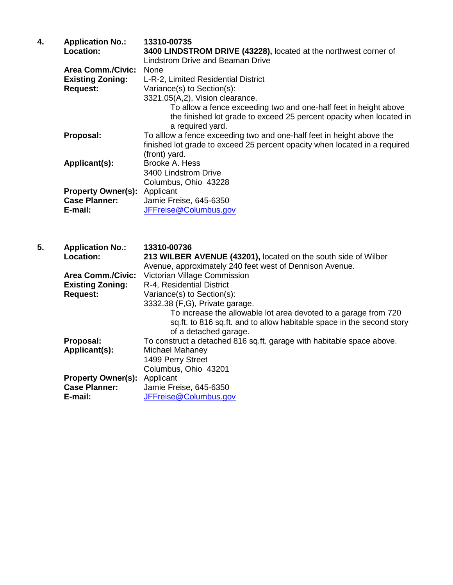| 4. | <b>Application No.:</b><br>Location:                                   | 13310-00735<br>3400 LINDSTROM DRIVE (43228), located at the northwest corner of<br><b>Lindstrom Drive and Beaman Drive</b>                                                                                                                                                  |
|----|------------------------------------------------------------------------|-----------------------------------------------------------------------------------------------------------------------------------------------------------------------------------------------------------------------------------------------------------------------------|
|    | <b>Area Comm./Civic:</b><br><b>Existing Zoning:</b><br><b>Request:</b> | None<br>L-R-2, Limited Residential District<br>Variance(s) to Section(s):<br>3321.05(A,2), Vision clearance.<br>To allow a fence exceeding two and one-half feet in height above<br>the finished lot grade to exceed 25 percent opacity when located in<br>a required yard. |
|    | Proposal:                                                              | To alllow a fence exceeding two and one-half feet in height above the<br>finished lot grade to exceed 25 percent opacity when located in a required<br>(front) yard.                                                                                                        |
|    | Applicant(s):                                                          | Brooke A. Hess<br>3400 Lindstrom Drive<br>Columbus, Ohio 43228                                                                                                                                                                                                              |
|    | <b>Property Owner(s):</b><br><b>Case Planner:</b><br>E-mail:           | Applicant<br>Jamie Freise, 645-6350<br>JFFreise@Columbus.gov                                                                                                                                                                                                                |
| 5. |                                                                        | 13310-00736                                                                                                                                                                                                                                                                 |
|    | <b>Application No.:</b><br>Location:                                   | 213 WILBER AVENUE (43201), located on the south side of Wilber                                                                                                                                                                                                              |
|    | <b>Area Comm./Civic:</b>                                               | Avenue, approximately 240 feet west of Dennison Avenue.<br>Victorian Village Commission                                                                                                                                                                                     |
|    | <b>Existing Zoning:</b>                                                | R-4, Residential District                                                                                                                                                                                                                                                   |
|    | <b>Request:</b>                                                        | Variance(s) to Section(s):                                                                                                                                                                                                                                                  |
|    |                                                                        | 3332.38 (F,G), Private garage.<br>To increase the allowable lot area devoted to a garage from 720<br>sq.ft. to 816 sq.ft. and to allow habitable space in the second story<br>of a detached garage.                                                                         |
|    | Proposal:                                                              | To construct a detached 816 sq.ft. garage with habitable space above.                                                                                                                                                                                                       |
|    | Applicant(s):                                                          | Michael Mahaney                                                                                                                                                                                                                                                             |
|    |                                                                        | 1499 Perry Street                                                                                                                                                                                                                                                           |
|    |                                                                        | Columbus, Ohio 43201                                                                                                                                                                                                                                                        |
|    | <b>Property Owner(s):</b><br><b>Case Planner:</b>                      | Applicant<br>Jamie Freise, 645-6350                                                                                                                                                                                                                                         |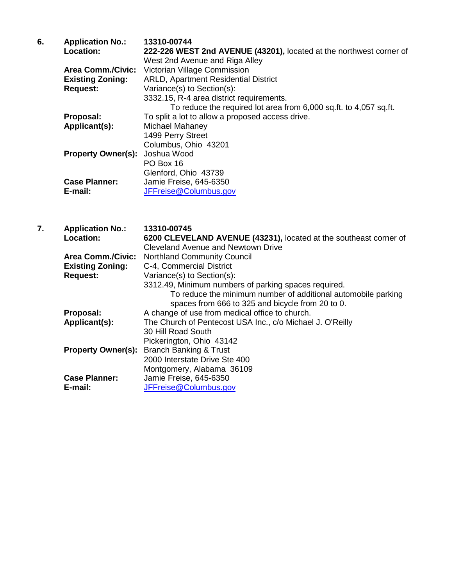| 6. | <b>Application No.:</b>               | 13310-00744                                                         |
|----|---------------------------------------|---------------------------------------------------------------------|
|    | Location:                             | 222-226 WEST 2nd AVENUE (43201), located at the northwest corner of |
|    |                                       | West 2nd Avenue and Riga Alley                                      |
|    | <b>Area Comm./Civic:</b>              | Victorian Village Commission                                        |
|    | <b>Existing Zoning:</b>               | <b>ARLD, Apartment Residential District</b>                         |
|    | <b>Request:</b>                       | Variance(s) to Section(s):                                          |
|    |                                       | 3332.15, R-4 area district requirements.                            |
|    |                                       | To reduce the required lot area from 6,000 sq.ft. to 4,057 sq.ft.   |
|    | Proposal:                             | To split a lot to allow a proposed access drive.                    |
|    | Applicant(s):                         | Michael Mahaney                                                     |
|    |                                       | 1499 Perry Street                                                   |
|    |                                       | Columbus, Ohio 43201                                                |
|    | <b>Property Owner(s): Joshua Wood</b> |                                                                     |
|    |                                       | PO Box 16                                                           |
|    |                                       | Glenford, Ohio 43739                                                |
|    | <b>Case Planner:</b>                  | Jamie Freise, 645-6350                                              |
|    | E-mail:                               | JFFreise@Columbus.gov                                               |

| 7. | <b>Application No.:</b>   | 13310-00745                                                       |
|----|---------------------------|-------------------------------------------------------------------|
|    | Location:                 | 6200 CLEVELAND AVENUE (43231), located at the southeast corner of |
|    |                           | Cleveland Avenue and Newtown Drive                                |
|    | <b>Area Comm./Civic:</b>  | <b>Northland Community Council</b>                                |
|    | <b>Existing Zoning:</b>   | C-4, Commercial District                                          |
|    | <b>Request:</b>           | Variance(s) to Section(s):                                        |
|    |                           | 3312.49, Minimum numbers of parking spaces required.              |
|    |                           | To reduce the minimum number of additional automobile parking     |
|    |                           | spaces from 666 to 325 and bicycle from 20 to 0.                  |
|    | Proposal:                 | A change of use from medical office to church.                    |
|    | Applicant(s):             | The Church of Pentecost USA Inc., c/o Michael J. O'Reilly         |
|    |                           | 30 Hill Road South                                                |
|    |                           | Pickerington, Ohio 43142                                          |
|    | <b>Property Owner(s):</b> | <b>Branch Banking &amp; Trust</b>                                 |
|    |                           | 2000 Interstate Drive Ste 400                                     |
|    |                           | Montgomery, Alabama 36109                                         |
|    | <b>Case Planner:</b>      | Jamie Freise, 645-6350                                            |
|    | E-mail:                   | JFFreise@Columbus.gov                                             |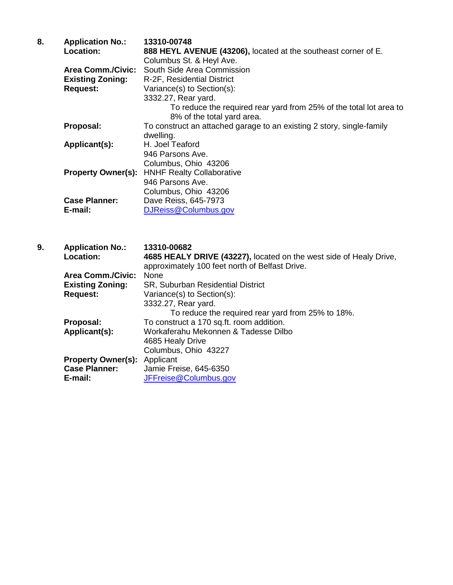|  | <b>Application No.:</b>   | 13310-00748                                                                                      |
|--|---------------------------|--------------------------------------------------------------------------------------------------|
|  | <b>Location:</b>          | 888 HEYL AVENUE (43206), located at the southeast corner of E.                                   |
|  |                           | Columbus St. & Heyl Ave.                                                                         |
|  | <b>Area Comm./Civic:</b>  | South Side Area Commission                                                                       |
|  | <b>Existing Zoning:</b>   | R-2F, Residential District                                                                       |
|  | <b>Request:</b>           | Variance(s) to Section(s):                                                                       |
|  |                           | 3332.27, Rear yard.                                                                              |
|  |                           | To reduce the required rear yard from 25% of the total lot area to<br>8% of the total yard area. |
|  | Proposal:                 | To construct an attached garage to an existing 2 story, single-family                            |
|  |                           | dwelling.                                                                                        |
|  | Applicant(s):             | H. Joel Teaford                                                                                  |
|  |                           | 946 Parsons Ave.                                                                                 |
|  |                           | Columbus, Ohio 43206                                                                             |
|  | <b>Property Owner(s):</b> | <b>HNHF Realty Collaborative</b>                                                                 |
|  |                           | 946 Parsons Ave.                                                                                 |
|  |                           | Columbus, Ohio 43206                                                                             |
|  | <b>Case Planner:</b>      | Dave Reiss, 645-7973                                                                             |
|  | E-mail:                   | DJReiss@Columbus.gov                                                                             |

**9. Application No.: 13310-00682 Location: 4685 HEALY DRIVE (43227),** located on the west side of Healy Drive, approximately 100 feet north of Belfast Drive. **Area Comm./Civic:**<br>Existing Zoning: **Existing Zoning:** SR, Suburban Residential District<br>Request: Variance(s) to Section(s): Variance(s) to Section(s): 3332.27, Rear yard. To reduce the required rear yard from 25% to 18%. **Proposal:** To construct a 170 sq.ft. room addition.<br>**Applicant(s):** Workaferahu Mekonnen & Tadesse Dilb **Applicant(s):** Workaferahu Mekonnen & Tadesse Dilbo 4685 Healy Drive Columbus, Ohio 43227 **Property Owner(s):** Applicant **Case Planner:** Jamie Fre **Case Planner:** Jamie Freise, 645-6350<br>**E-mail:** JFFreise@Columbus.go **E-mail:** [JFFreise@Columbus.gov](mailto:JFFreise@Columbus.gov)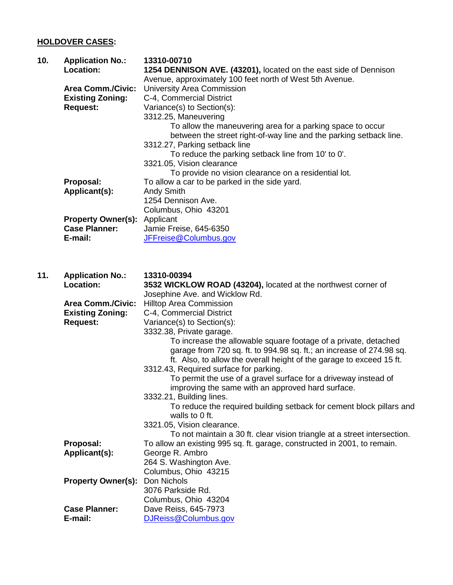## **HOLDOVER CASES:**

| 10. | <b>Application No.:</b><br><b>Location:</b> | 13310-00710<br>1254 DENNISON AVE. (43201), located on the east side of Dennison<br>Avenue, approximately 100 feet north of West 5th Avenue. |
|-----|---------------------------------------------|---------------------------------------------------------------------------------------------------------------------------------------------|
|     | <b>Area Comm./Civic:</b>                    | University Area Commission                                                                                                                  |
|     | <b>Existing Zoning:</b>                     | C-4, Commercial District                                                                                                                    |
|     | <b>Request:</b>                             | Variance(s) to Section(s):                                                                                                                  |
|     |                                             | 3312.25, Maneuvering                                                                                                                        |
|     |                                             | To allow the maneuvering area for a parking space to occur                                                                                  |
|     |                                             | between the street right-of-way line and the parking setback line.                                                                          |
|     |                                             | 3312.27, Parking setback line                                                                                                               |
|     |                                             | To reduce the parking setback line from 10' to 0'.                                                                                          |
|     |                                             | 3321.05, Vision clearance                                                                                                                   |
|     |                                             | To provide no vision clearance on a residential lot.                                                                                        |
|     | Proposal:                                   | To allow a car to be parked in the side yard.                                                                                               |
|     | Applicant(s):                               | <b>Andy Smith</b>                                                                                                                           |
|     |                                             | 1254 Dennison Ave.                                                                                                                          |
|     |                                             | Columbus, Ohio 43201                                                                                                                        |
|     | <b>Property Owner(s):</b>                   | Applicant                                                                                                                                   |
|     | <b>Case Planner:</b>                        | Jamie Freise, 645-6350                                                                                                                      |
|     | E-mail:                                     | JFFreise@Columbus.gov                                                                                                                       |
|     |                                             |                                                                                                                                             |
| 11. | <b>Application No.:</b><br>Location:        | 13310-00394<br>3532 WICKLOW ROAD (43204), located at the northwest corner of                                                                |
|     |                                             | Josephine Ave. and Wicklow Rd.                                                                                                              |
|     | <b>Area Comm./Civic:</b>                    | <b>Hilltop Area Commission</b>                                                                                                              |
|     | <b>Existing Zoning:</b>                     | C-4, Commercial District                                                                                                                    |
|     | <b>Request:</b>                             | Variance(s) to Section(s):                                                                                                                  |
|     |                                             | 3332.38, Private garage.                                                                                                                    |
|     |                                             | To increase the allowable square footage of a private, detached                                                                             |
|     |                                             | garage from 720 sq. ft. to 994.98 sq. ft.; an increase of 274.98 sq.                                                                        |
|     |                                             | ft. Also, to allow the overall height of the garage to exceed 15 ft.                                                                        |
|     |                                             | 3312.43, Required surface for parking.                                                                                                      |
|     |                                             | To permit the use of a gravel surface for a driveway instead of                                                                             |
|     |                                             | improving the same with an approved hard surface.                                                                                           |
|     |                                             | 3332.21, Building lines.                                                                                                                    |
|     |                                             | To reduce the required building setback for cement block pillars and<br>walls to 0 ft.                                                      |
|     |                                             | 3321.05, Vision clearance.                                                                                                                  |
|     |                                             | To not maintain a 30 ft. clear vision triangle at a street intersection.                                                                    |
|     | Proposal:                                   | To allow an existing 995 sq. ft. garage, constructed in 2001, to remain.                                                                    |
|     | Applicant(s):                               | George R. Ambro                                                                                                                             |
|     |                                             | 264 S. Washington Ave.                                                                                                                      |
|     |                                             |                                                                                                                                             |
|     |                                             | Columbus, Ohio 43215                                                                                                                        |
|     | <b>Property Owner(s):</b>                   | Don Nichols                                                                                                                                 |
|     |                                             | 3076 Parkside Rd.                                                                                                                           |
|     |                                             | Columbus, Ohio 43204                                                                                                                        |
|     | <b>Case Planner:</b><br>E-mail:             | Dave Reiss, 645-7973<br>DJReiss@Columbus.gov                                                                                                |